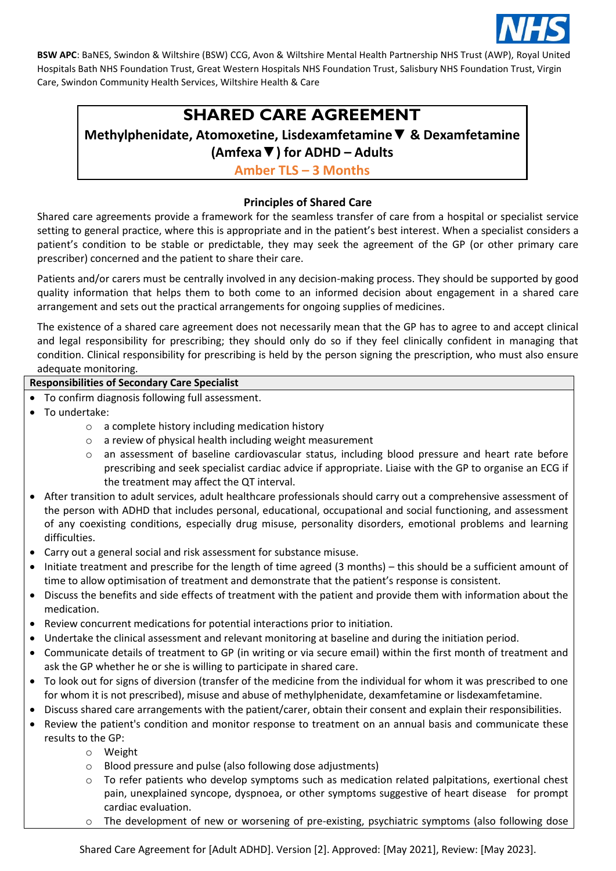

# **SHARED CARE AGREEMENT**

# **Methylphenidate, Atomoxetine, Lisdexamfetamine**▼ **& Dexamfetamine (Amfexa▼) for ADHD – Adults**

**Amber TLS – 3 Months**

## **Principles of Shared Care**

Shared care agreements provide a framework for the seamless transfer of care from a hospital or specialist service setting to general practice, where this is appropriate and in the patient's best interest. When a specialist considers a patient's condition to be stable or predictable, they may seek the agreement of the GP (or other primary care prescriber) concerned and the patient to share their care.

Patients and/or carers must be centrally involved in any decision-making process. They should be supported by good quality information that helps them to both come to an informed decision about engagement in a shared care arrangement and sets out the practical arrangements for ongoing supplies of medicines.

The existence of a shared care agreement does not necessarily mean that the GP has to agree to and accept clinical and legal responsibility for prescribing; they should only do so if they feel clinically confident in managing that condition. Clinical responsibility for prescribing is held by the person signing the prescription, who must also ensure adequate monitoring.

### **Responsibilities of Secondary Care Specialist**

- To confirm diagnosis following full assessment.
- To undertake:
	- o a complete history including medication history
	- o a review of physical health including weight measurement
	- o an assessment of baseline cardiovascular status, including blood pressure and heart rate before prescribing and seek specialist cardiac advice if appropriate. Liaise with the GP to organise an ECG if the treatment may affect the QT interval.
- After transition to adult services, adult healthcare professionals should carry out a comprehensive assessment of the person with ADHD that includes personal, educational, occupational and social functioning, and assessment of any coexisting conditions, especially drug misuse, personality disorders, emotional problems and learning difficulties.
- Carry out a general social and risk assessment for substance misuse.
- Initiate treatment and prescribe for the length of time agreed (3 months) this should be a sufficient amount of time to allow optimisation of treatment and demonstrate that the patient's response is consistent.
- Discuss the benefits and side effects of treatment with the patient and provide them with information about the medication.
- Review concurrent medications for potential interactions prior to initiation.
- Undertake the clinical assessment and relevant monitoring at baseline and during the initiation period.
- Communicate details of treatment to GP (in writing or via secure email) within the first month of treatment and ask the GP whether he or she is willing to participate in shared care.
- To look out for signs of diversion (transfer of the medicine from the individual for whom it was prescribed to one for whom it is not prescribed), misuse and abuse of methylphenidate, dexamfetamine or lisdexamfetamine.
- Discuss shared care arrangements with the patient/carer, obtain their consent and explain their responsibilities.
- Review the patient's condition and monitor response to treatment on an annual basis and communicate these results to the GP:
	- o Weight
	- o Blood pressure and pulse (also following dose adjustments)
	- $\circ$  To refer patients who develop symptoms such as medication related palpitations, exertional chest pain, unexplained syncope, dyspnoea, or other symptoms suggestive of heart disease for prompt cardiac evaluation.
	- o The development of new or worsening of pre-existing, psychiatric symptoms (also following dose

Shared Care Agreement for [Adult ADHD]. Version [2]. Approved: [May 2021], Review: [May 2023].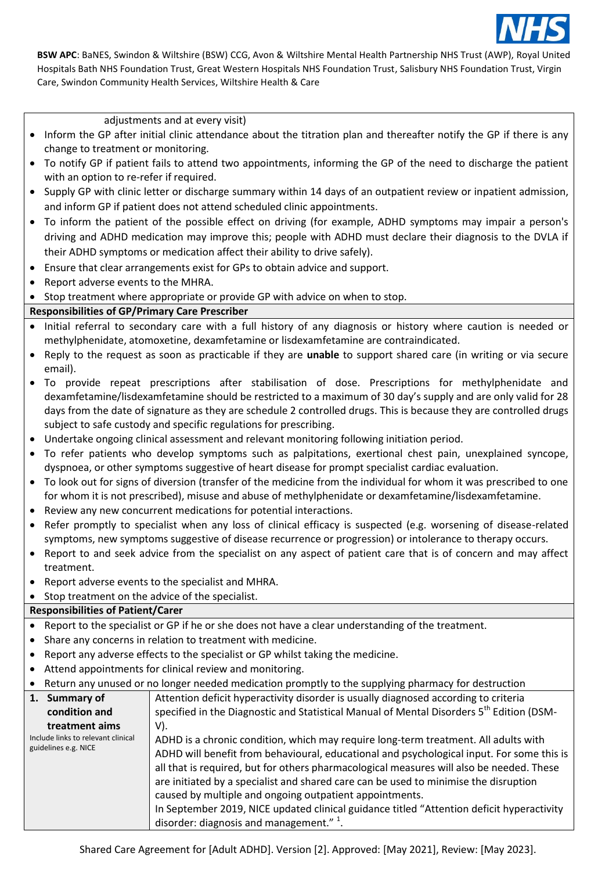

adjustments and at every visit)

- Inform the GP after initial clinic attendance about the titration plan and thereafter notify the GP if there is any change to treatment or monitoring.
- To notify GP if patient fails to attend two appointments, informing the GP of the need to discharge the patient with an option to re-refer if required.
- Supply GP with clinic letter or discharge summary within 14 days of an outpatient review or inpatient admission, and inform GP if patient does not attend scheduled clinic appointments.
- To inform the patient of the possible effect on driving (for example, ADHD symptoms may impair a person's driving and ADHD medication may improve this; people with ADHD must declare their diagnosis to the DVLA if their ADHD symptoms or medication affect their ability to drive safely).
- Ensure that clear arrangements exist for GPs to obtain advice and support.
- Report adverse events to the MHRA.
- Stop treatment where appropriate or provide GP with advice on when to stop.

#### **Responsibilities of GP/Primary Care Prescriber**

- Initial referral to secondary care with a full history of any diagnosis or history where caution is needed or methylphenidate, atomoxetine, dexamfetamine or lisdexamfetamine are contraindicated.
- Reply to the request as soon as practicable if they are **unable** to support shared care (in writing or via secure email).
- To provide repeat prescriptions after stabilisation of dose. Prescriptions for methylphenidate and dexamfetamine/lisdexamfetamine should be restricted to a maximum of 30 day's supply and are only valid for 28 days from the date of signature as they are schedule 2 controlled drugs. This is because they are controlled drugs subject to safe custody and specific regulations for prescribing.
- Undertake ongoing clinical assessment and relevant monitoring following initiation period.
- To refer patients who develop symptoms such as palpitations, exertional chest pain, unexplained syncope, dyspnoea, or other symptoms suggestive of heart disease for prompt specialist cardiac evaluation.
- To look out for signs of diversion (transfer of the medicine from the individual for whom it was prescribed to one for whom it is not prescribed), misuse and abuse of methylphenidate or dexamfetamine/lisdexamfetamine.
- Review any new concurrent medications for potential interactions.
- Refer promptly to specialist when any loss of clinical efficacy is suspected (e.g. worsening of disease-related symptoms, new symptoms suggestive of disease recurrence or progression) or intolerance to therapy occurs.
- Report to and seek advice from the specialist on any aspect of patient care that is of concern and may affect treatment.
- Report adverse events to the specialist and MHRA.

#### • Stop treatment on the advice of the specialist.

#### **Responsibilities of Patient/Carer**

- Report to the specialist or GP if he or she does not have a clear understanding of the treatment.
- Share any concerns in relation to treatment with medicine.
- Report any adverse effects to the specialist or GP whilst taking the medicine.
- Attend appointments for clinical review and monitoring.
- Return any unused or no longer needed medication promptly to the supplying pharmacy for destruction

| 1. Summary of                      | Attention deficit hyperactivity disorder is usually diagnosed according to criteria       |  |  |
|------------------------------------|-------------------------------------------------------------------------------------------|--|--|
| condition and                      | specified in the Diagnostic and Statistical Manual of Mental Disorders 5th Edition (DSM-  |  |  |
| treatment aims                     | V).                                                                                       |  |  |
| Include links to relevant clinical | ADHD is a chronic condition, which may require long-term treatment. All adults with       |  |  |
| guidelines e.g. NICE               | ADHD will benefit from behavioural, educational and psychological input. For some this is |  |  |
|                                    | all that is required, but for others pharmacological measures will also be needed. These  |  |  |
|                                    | are initiated by a specialist and shared care can be used to minimise the disruption      |  |  |
|                                    | caused by multiple and ongoing outpatient appointments.                                   |  |  |
|                                    | In September 2019, NICE updated clinical guidance titled "Attention deficit hyperactivity |  |  |
|                                    | disorder: diagnosis and management." $\frac{1}{1}$ .                                      |  |  |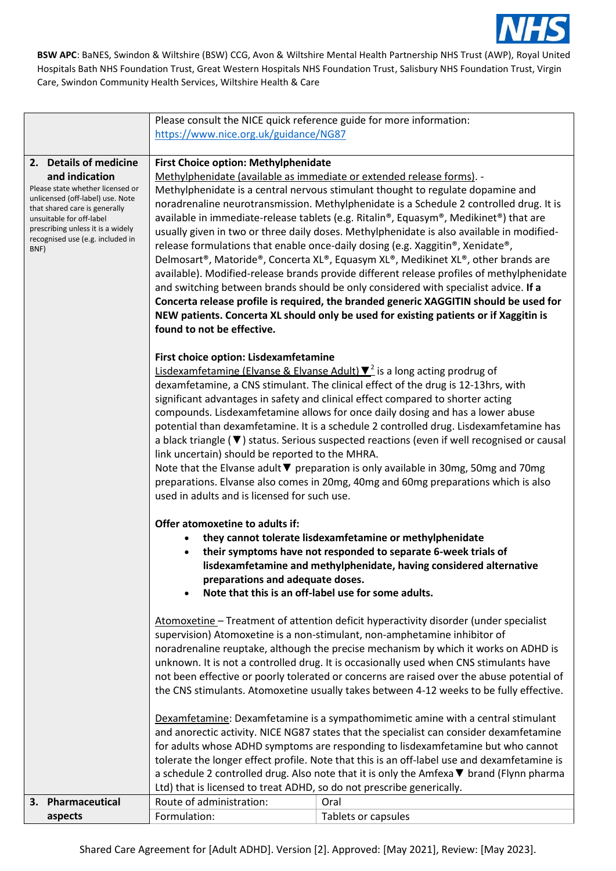

|                                                                                                                                                                        | Please consult the NICE quick reference guide for more information:                                                                                                                                                                                                                        |                                                                                                                                                                                                                                                                                                                                                                  |  |  |  |  |
|------------------------------------------------------------------------------------------------------------------------------------------------------------------------|--------------------------------------------------------------------------------------------------------------------------------------------------------------------------------------------------------------------------------------------------------------------------------------------|------------------------------------------------------------------------------------------------------------------------------------------------------------------------------------------------------------------------------------------------------------------------------------------------------------------------------------------------------------------|--|--|--|--|
|                                                                                                                                                                        | https://www.nice.org.uk/guidance/NG87                                                                                                                                                                                                                                                      |                                                                                                                                                                                                                                                                                                                                                                  |  |  |  |  |
|                                                                                                                                                                        |                                                                                                                                                                                                                                                                                            |                                                                                                                                                                                                                                                                                                                                                                  |  |  |  |  |
| 2. Details of medicine                                                                                                                                                 | <b>First Choice option: Methylphenidate</b>                                                                                                                                                                                                                                                |                                                                                                                                                                                                                                                                                                                                                                  |  |  |  |  |
| and indication                                                                                                                                                         | Methylphenidate (available as immediate or extended release forms). -                                                                                                                                                                                                                      |                                                                                                                                                                                                                                                                                                                                                                  |  |  |  |  |
| Please state whether licensed or<br>unlicensed (off-label) use. Note<br>that shared care is generally<br>unsuitable for off-label<br>prescribing unless it is a widely |                                                                                                                                                                                                                                                                                            | Methylphenidate is a central nervous stimulant thought to regulate dopamine and<br>noradrenaline neurotransmission. Methylphenidate is a Schedule 2 controlled drug. It is<br>available in immediate-release tablets (e.g. Ritalin®, Equasym®, Medikinet®) that are<br>usually given in two or three daily doses. Methylphenidate is also available in modified- |  |  |  |  |
| recognised use (e.g. included in<br>BNF)                                                                                                                               |                                                                                                                                                                                                                                                                                            | release formulations that enable once-daily dosing (e.g. Xaggitin®, Xenidate®,<br>Delmosart®, Matoride®, Concerta XL®, Equasym XL®, Medikinet XL®, other brands are<br>available). Modified-release brands provide different release profiles of methylphenidate<br>and switching between brands should be only considered with specialist advice. If a          |  |  |  |  |
|                                                                                                                                                                        | Concerta release profile is required, the branded generic XAGGITIN should be used for<br>NEW patients. Concerta XL should only be used for existing patients or if Xaggitin is<br>found to not be effective.                                                                               |                                                                                                                                                                                                                                                                                                                                                                  |  |  |  |  |
|                                                                                                                                                                        | First choice option: Lisdexamfetamine                                                                                                                                                                                                                                                      |                                                                                                                                                                                                                                                                                                                                                                  |  |  |  |  |
|                                                                                                                                                                        | <b>Lisdexamfetamine (Elvanse &amp; Elvanse Adult)</b> $\mathbf{V}^2$ is a long acting prodrug of<br>dexamfetamine, a CNS stimulant. The clinical effect of the drug is 12-13hrs, with<br>significant advantages in safety and clinical effect compared to shorter acting                   |                                                                                                                                                                                                                                                                                                                                                                  |  |  |  |  |
|                                                                                                                                                                        | compounds. Lisdexamfetamine allows for once daily dosing and has a lower abuse<br>potential than dexamfetamine. It is a schedule 2 controlled drug. Lisdexamfetamine has<br>a black triangle $(\blacktriangledown)$ status. Serious suspected reactions (even if well recognised or causal |                                                                                                                                                                                                                                                                                                                                                                  |  |  |  |  |
|                                                                                                                                                                        | link uncertain) should be reported to the MHRA.                                                                                                                                                                                                                                            |                                                                                                                                                                                                                                                                                                                                                                  |  |  |  |  |
|                                                                                                                                                                        |                                                                                                                                                                                                                                                                                            | Note that the Elvanse adult ▼ preparation is only available in 30mg, 50mg and 70mg                                                                                                                                                                                                                                                                               |  |  |  |  |
|                                                                                                                                                                        |                                                                                                                                                                                                                                                                                            | preparations. Elvanse also comes in 20mg, 40mg and 60mg preparations which is also                                                                                                                                                                                                                                                                               |  |  |  |  |
|                                                                                                                                                                        | used in adults and is licensed for such use.                                                                                                                                                                                                                                               |                                                                                                                                                                                                                                                                                                                                                                  |  |  |  |  |
|                                                                                                                                                                        | Offer atomoxetine to adults if:                                                                                                                                                                                                                                                            |                                                                                                                                                                                                                                                                                                                                                                  |  |  |  |  |
|                                                                                                                                                                        |                                                                                                                                                                                                                                                                                            | they cannot tolerate lisdexamfetamine or methylphenidate                                                                                                                                                                                                                                                                                                         |  |  |  |  |
|                                                                                                                                                                        |                                                                                                                                                                                                                                                                                            | their symptoms have not responded to separate 6-week trials of                                                                                                                                                                                                                                                                                                   |  |  |  |  |
|                                                                                                                                                                        |                                                                                                                                                                                                                                                                                            | lisdexamfetamine and methylphenidate, having considered alternative                                                                                                                                                                                                                                                                                              |  |  |  |  |
|                                                                                                                                                                        | preparations and adequate doses.                                                                                                                                                                                                                                                           |                                                                                                                                                                                                                                                                                                                                                                  |  |  |  |  |
|                                                                                                                                                                        | Note that this is an off-label use for some adults.                                                                                                                                                                                                                                        |                                                                                                                                                                                                                                                                                                                                                                  |  |  |  |  |
|                                                                                                                                                                        | Atomoxetine - Treatment of attention deficit hyperactivity disorder (under specialist<br>supervision) Atomoxetine is a non-stimulant, non-amphetamine inhibitor of                                                                                                                         |                                                                                                                                                                                                                                                                                                                                                                  |  |  |  |  |
|                                                                                                                                                                        |                                                                                                                                                                                                                                                                                            | noradrenaline reuptake, although the precise mechanism by which it works on ADHD is                                                                                                                                                                                                                                                                              |  |  |  |  |
|                                                                                                                                                                        |                                                                                                                                                                                                                                                                                            | unknown. It is not a controlled drug. It is occasionally used when CNS stimulants have                                                                                                                                                                                                                                                                           |  |  |  |  |
|                                                                                                                                                                        |                                                                                                                                                                                                                                                                                            | not been effective or poorly tolerated or concerns are raised over the abuse potential of                                                                                                                                                                                                                                                                        |  |  |  |  |
|                                                                                                                                                                        | the CNS stimulants. Atomoxetine usually takes between 4-12 weeks to be fully effective.                                                                                                                                                                                                    |                                                                                                                                                                                                                                                                                                                                                                  |  |  |  |  |
|                                                                                                                                                                        | Dexamfetamine: Dexamfetamine is a sympathomimetic amine with a central stimulant                                                                                                                                                                                                           |                                                                                                                                                                                                                                                                                                                                                                  |  |  |  |  |
|                                                                                                                                                                        | and anorectic activity. NICE NG87 states that the specialist can consider dexamfetamine                                                                                                                                                                                                    |                                                                                                                                                                                                                                                                                                                                                                  |  |  |  |  |
|                                                                                                                                                                        | for adults whose ADHD symptoms are responding to lisdexamfetamine but who cannot<br>tolerate the longer effect profile. Note that this is an off-label use and dexamfetamine is                                                                                                            |                                                                                                                                                                                                                                                                                                                                                                  |  |  |  |  |
|                                                                                                                                                                        | a schedule 2 controlled drug. Also note that it is only the Amfexa ▼ brand (Flynn pharma                                                                                                                                                                                                   |                                                                                                                                                                                                                                                                                                                                                                  |  |  |  |  |
|                                                                                                                                                                        | Ltd) that is licensed to treat ADHD, so do not prescribe generically.                                                                                                                                                                                                                      |                                                                                                                                                                                                                                                                                                                                                                  |  |  |  |  |
| 3. Pharmaceutical                                                                                                                                                      | Route of administration:                                                                                                                                                                                                                                                                   | Oral                                                                                                                                                                                                                                                                                                                                                             |  |  |  |  |
| aspects                                                                                                                                                                | Formulation:                                                                                                                                                                                                                                                                               | Tablets or capsules                                                                                                                                                                                                                                                                                                                                              |  |  |  |  |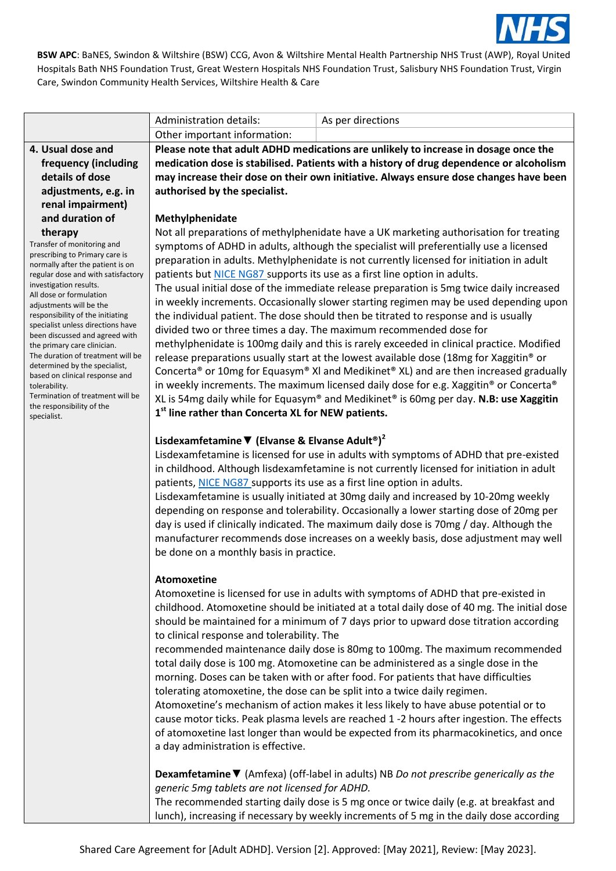

|                                                                                                                                                                                                                                                                                                                                                                                                                                                                                                                                                                                      | Administration details:                                                                                                                        | As per directions                                                                                                                                                                                                                                                                                                                                                                                                                                                                                                                                                                                                                                                                                                                                                                                                                                                                                                                                                                                                                                                                                                                                                                                                                                                                                                                                                   |  |  |
|--------------------------------------------------------------------------------------------------------------------------------------------------------------------------------------------------------------------------------------------------------------------------------------------------------------------------------------------------------------------------------------------------------------------------------------------------------------------------------------------------------------------------------------------------------------------------------------|------------------------------------------------------------------------------------------------------------------------------------------------|---------------------------------------------------------------------------------------------------------------------------------------------------------------------------------------------------------------------------------------------------------------------------------------------------------------------------------------------------------------------------------------------------------------------------------------------------------------------------------------------------------------------------------------------------------------------------------------------------------------------------------------------------------------------------------------------------------------------------------------------------------------------------------------------------------------------------------------------------------------------------------------------------------------------------------------------------------------------------------------------------------------------------------------------------------------------------------------------------------------------------------------------------------------------------------------------------------------------------------------------------------------------------------------------------------------------------------------------------------------------|--|--|
|                                                                                                                                                                                                                                                                                                                                                                                                                                                                                                                                                                                      | Other important information:                                                                                                                   |                                                                                                                                                                                                                                                                                                                                                                                                                                                                                                                                                                                                                                                                                                                                                                                                                                                                                                                                                                                                                                                                                                                                                                                                                                                                                                                                                                     |  |  |
| 4. Usual dose and                                                                                                                                                                                                                                                                                                                                                                                                                                                                                                                                                                    | Please note that adult ADHD medications are unlikely to increase in dosage once the                                                            |                                                                                                                                                                                                                                                                                                                                                                                                                                                                                                                                                                                                                                                                                                                                                                                                                                                                                                                                                                                                                                                                                                                                                                                                                                                                                                                                                                     |  |  |
| frequency (including                                                                                                                                                                                                                                                                                                                                                                                                                                                                                                                                                                 | medication dose is stabilised. Patients with a history of drug dependence or alcoholism                                                        |                                                                                                                                                                                                                                                                                                                                                                                                                                                                                                                                                                                                                                                                                                                                                                                                                                                                                                                                                                                                                                                                                                                                                                                                                                                                                                                                                                     |  |  |
| details of dose                                                                                                                                                                                                                                                                                                                                                                                                                                                                                                                                                                      |                                                                                                                                                | may increase their dose on their own initiative. Always ensure dose changes have been                                                                                                                                                                                                                                                                                                                                                                                                                                                                                                                                                                                                                                                                                                                                                                                                                                                                                                                                                                                                                                                                                                                                                                                                                                                                               |  |  |
| adjustments, e.g. in                                                                                                                                                                                                                                                                                                                                                                                                                                                                                                                                                                 | authorised by the specialist.                                                                                                                  |                                                                                                                                                                                                                                                                                                                                                                                                                                                                                                                                                                                                                                                                                                                                                                                                                                                                                                                                                                                                                                                                                                                                                                                                                                                                                                                                                                     |  |  |
| renal impairment)                                                                                                                                                                                                                                                                                                                                                                                                                                                                                                                                                                    |                                                                                                                                                |                                                                                                                                                                                                                                                                                                                                                                                                                                                                                                                                                                                                                                                                                                                                                                                                                                                                                                                                                                                                                                                                                                                                                                                                                                                                                                                                                                     |  |  |
| and duration of                                                                                                                                                                                                                                                                                                                                                                                                                                                                                                                                                                      | Methylphenidate                                                                                                                                |                                                                                                                                                                                                                                                                                                                                                                                                                                                                                                                                                                                                                                                                                                                                                                                                                                                                                                                                                                                                                                                                                                                                                                                                                                                                                                                                                                     |  |  |
| therapy<br>Transfer of monitoring and<br>prescribing to Primary care is<br>normally after the patient is on<br>regular dose and with satisfactory<br>investigation results.<br>All dose or formulation<br>adjustments will be the<br>responsibility of the initiating<br>specialist unless directions have<br>been discussed and agreed with<br>the primary care clinician.<br>The duration of treatment will be<br>determined by the specialist,<br>based on clinical response and<br>tolerability.<br>Termination of treatment will be<br>the responsibility of the<br>specialist. | 1 <sup>st</sup> line rather than Concerta XL for NEW patients.<br>Lisdexamfetamine $\Psi$ (Elvanse & Elvanse Adult <sup>®</sup> ) <sup>2</sup> | Not all preparations of methylphenidate have a UK marketing authorisation for treating<br>symptoms of ADHD in adults, although the specialist will preferentially use a licensed<br>preparation in adults. Methylphenidate is not currently licensed for initiation in adult<br>patients but NICE NG87 supports its use as a first line option in adults.<br>The usual initial dose of the immediate release preparation is 5mg twice daily increased<br>in weekly increments. Occasionally slower starting regimen may be used depending upon<br>the individual patient. The dose should then be titrated to response and is usually<br>divided two or three times a day. The maximum recommended dose for<br>methylphenidate is 100mg daily and this is rarely exceeded in clinical practice. Modified<br>release preparations usually start at the lowest available dose (18mg for Xaggitin® or<br>Concerta® or 10mg for Equasym® XI and Medikinet® XL) and are then increased gradually<br>in weekly increments. The maximum licensed daily dose for e.g. Xaggitin® or Concerta®<br>XL is 54mg daily while for Equasym® and Medikinet® is 60mg per day. N.B: use Xaggitin<br>Lisdexamfetamine is licensed for use in adults with symptoms of ADHD that pre-existed<br>in childhood. Although lisdexamfetamine is not currently licensed for initiation in adult |  |  |

patients[, NICE NG87 s](https://www.nice.org.uk/guidance/ng87/resources/attention-deficit-hyperactivity-disorder-diagnosis-and-management-pdf-1837699732933)upports its use as a first line option in adults. Lisdexamfetamine is usually initiated at 30mg daily and increased by 10-20mg weekly depending on response and tolerability. Occasionally a lower starting dose of 20mg per day is used if clinically indicated. The maximum daily dose is 70mg / day. Although the manufacturer recommends dose increases on a weekly basis, dose adjustment may well be done on a monthly basis in practice.

#### **Atomoxetine**

Atomoxetine is licensed for use in adults with symptoms of ADHD that pre-existed in childhood. Atomoxetine should be initiated at a total daily dose of 40 mg. The initial dose should be maintained for a minimum of 7 days prior to upward dose titration according to clinical response and tolerability. The

recommended maintenance daily dose is 80mg to 100mg. The maximum recommended total daily dose is 100 mg. Atomoxetine can be administered as a single dose in the morning. Doses can be taken with or after food. For patients that have difficulties tolerating atomoxetine, the dose can be split into a twice daily regimen.

Atomoxetine's mechanism of action makes it less likely to have abuse potential or to cause motor ticks. Peak plasma levels are reached 1 -2 hours after ingestion. The effects of atomoxetine last longer than would be expected from its pharmacokinetics, and once a day administration is effective.

**Dexamfetamine**▼ (Amfexa) (off-label in adults) NB *Do not prescribe generically as the generic 5mg tablets are not licensed for ADHD.*

The recommended starting daily dose is 5 mg once or twice daily (e.g. at breakfast and lunch), increasing if necessary by weekly increments of 5 mg in the daily dose according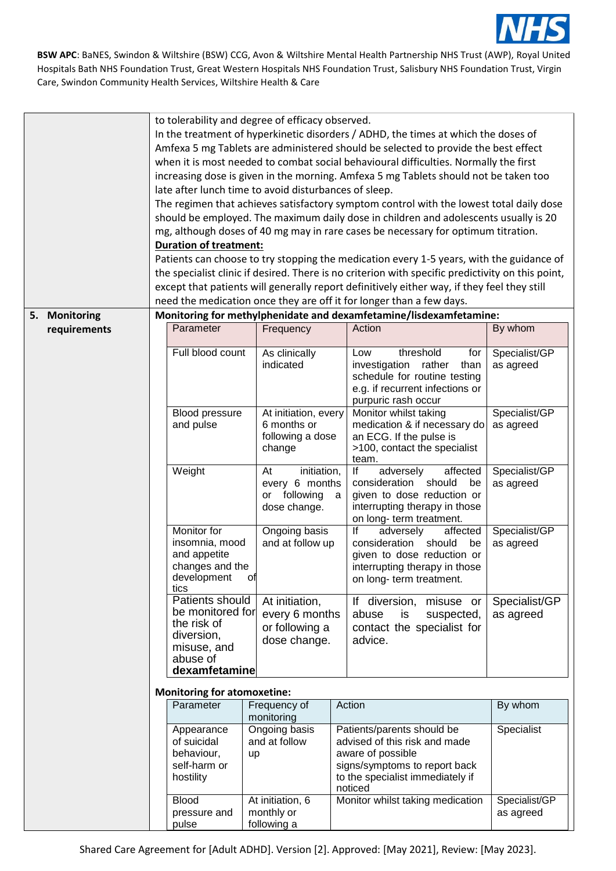

|               | to tolerability and degree of efficacy observed.<br>In the treatment of hyperkinetic disorders / ADHD, the times at which the doses of<br>Amfexa 5 mg Tablets are administered should be selected to provide the best effect<br>when it is most needed to combat social behavioural difficulties. Normally the first<br>increasing dose is given in the morning. Amfexa 5 mg Tablets should not be taken too<br>late after lunch time to avoid disturbances of sleep.<br>The regimen that achieves satisfactory symptom control with the lowest total daily dose<br>should be employed. The maximum daily dose in children and adolescents usually is 20<br>mg, although doses of 40 mg may in rare cases be necessary for optimum titration.<br><b>Duration of treatment:</b><br>Patients can choose to try stopping the medication every 1-5 years, with the guidance of<br>the specialist clinic if desired. There is no criterion with specific predictivity on this point,<br>except that patients will generally report definitively either way, if they feel they still<br>need the medication once they are off it for longer than a few days. |                                                                                                              |    |                                                                     |   |                                                                                                                                                                  |                            |
|---------------|--------------------------------------------------------------------------------------------------------------------------------------------------------------------------------------------------------------------------------------------------------------------------------------------------------------------------------------------------------------------------------------------------------------------------------------------------------------------------------------------------------------------------------------------------------------------------------------------------------------------------------------------------------------------------------------------------------------------------------------------------------------------------------------------------------------------------------------------------------------------------------------------------------------------------------------------------------------------------------------------------------------------------------------------------------------------------------------------------------------------------------------------------------|--------------------------------------------------------------------------------------------------------------|----|---------------------------------------------------------------------|---|------------------------------------------------------------------------------------------------------------------------------------------------------------------|----------------------------|
| 5. Monitoring |                                                                                                                                                                                                                                                                                                                                                                                                                                                                                                                                                                                                                                                                                                                                                                                                                                                                                                                                                                                                                                                                                                                                                        |                                                                                                              |    |                                                                     |   | Monitoring for methylphenidate and dexamfetamine/lisdexamfetamine:                                                                                               |                            |
| requirements  |                                                                                                                                                                                                                                                                                                                                                                                                                                                                                                                                                                                                                                                                                                                                                                                                                                                                                                                                                                                                                                                                                                                                                        | Parameter                                                                                                    |    | Frequency                                                           |   | Action                                                                                                                                                           | By whom                    |
|               |                                                                                                                                                                                                                                                                                                                                                                                                                                                                                                                                                                                                                                                                                                                                                                                                                                                                                                                                                                                                                                                                                                                                                        | Full blood count                                                                                             |    | As clinically<br>indicated                                          |   | threshold<br>Low<br>for<br>investigation rather<br>than<br>schedule for routine testing<br>e.g. if recurrent infections or<br>purpuric rash occur                | Specialist/GP<br>as agreed |
|               |                                                                                                                                                                                                                                                                                                                                                                                                                                                                                                                                                                                                                                                                                                                                                                                                                                                                                                                                                                                                                                                                                                                                                        | Blood pressure<br>and pulse                                                                                  |    | At initiation, every<br>6 months or<br>following a dose<br>change   |   | Monitor whilst taking<br>medication & if necessary do<br>an ECG. If the pulse is<br>>100, contact the specialist<br>team.                                        | Specialist/GP<br>as agreed |
|               |                                                                                                                                                                                                                                                                                                                                                                                                                                                                                                                                                                                                                                                                                                                                                                                                                                                                                                                                                                                                                                                                                                                                                        | Weight                                                                                                       |    | initiation,<br>At<br>every 6 months<br>or following<br>dose change. | a | affected<br>lf<br>adversely<br>consideration<br>should<br>be<br>given to dose reduction or<br>interrupting therapy in those<br>on long- term treatment.          | Specialist/GP<br>as agreed |
|               |                                                                                                                                                                                                                                                                                                                                                                                                                                                                                                                                                                                                                                                                                                                                                                                                                                                                                                                                                                                                                                                                                                                                                        | Monitor for<br>insomnia, mood<br>and appetite<br>changes and the<br>development<br>tics                      | OП | Ongoing basis<br>and at follow up                                   |   | lf<br>adversely<br>affected<br>should<br>consideration<br>be<br>given to dose reduction or<br>interrupting therapy in those<br>on long-term treatment.           | Specialist/GP<br>as agreed |
|               |                                                                                                                                                                                                                                                                                                                                                                                                                                                                                                                                                                                                                                                                                                                                                                                                                                                                                                                                                                                                                                                                                                                                                        | Patients should<br>be monitored for<br>the risk of<br>diversion,<br>misuse, and<br>abuse of<br>dexamfetamine |    | At initiation,<br>every 6 months<br>or following a<br>dose change.  |   | If diversion, misuse or<br>abuse<br>is<br>suspected,<br>contact the specialist for<br>advice.                                                                    | Specialist/GP<br>as agreed |
|               | <b>Monitoring for atomoxetine:</b>                                                                                                                                                                                                                                                                                                                                                                                                                                                                                                                                                                                                                                                                                                                                                                                                                                                                                                                                                                                                                                                                                                                     |                                                                                                              |    |                                                                     |   |                                                                                                                                                                  |                            |
|               |                                                                                                                                                                                                                                                                                                                                                                                                                                                                                                                                                                                                                                                                                                                                                                                                                                                                                                                                                                                                                                                                                                                                                        | Parameter                                                                                                    |    | Frequency of                                                        |   | Action                                                                                                                                                           | By whom                    |
|               |                                                                                                                                                                                                                                                                                                                                                                                                                                                                                                                                                                                                                                                                                                                                                                                                                                                                                                                                                                                                                                                                                                                                                        | Appearance<br>of suicidal<br>behaviour,<br>self-harm or<br>hostility                                         | up | monitoring<br>Ongoing basis<br>and at follow                        |   | Patients/parents should be<br>advised of this risk and made<br>aware of possible<br>signs/symptoms to report back<br>to the specialist immediately if<br>noticed | Specialist                 |
|               |                                                                                                                                                                                                                                                                                                                                                                                                                                                                                                                                                                                                                                                                                                                                                                                                                                                                                                                                                                                                                                                                                                                                                        | <b>Blood</b><br>pressure and<br>pulse                                                                        |    | At initiation, 6<br>monthly or<br>following a                       |   | Monitor whilst taking medication                                                                                                                                 | Specialist/GP<br>as agreed |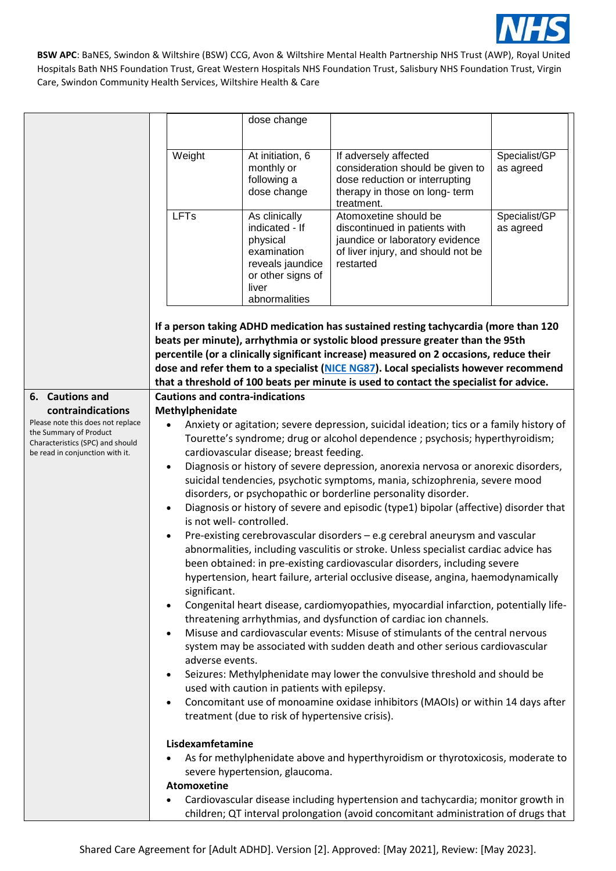

|                                                                     |                                                                                                                                                                                                 | dose change                                     |                                                                                         |               |  |  |
|---------------------------------------------------------------------|-------------------------------------------------------------------------------------------------------------------------------------------------------------------------------------------------|-------------------------------------------------|-----------------------------------------------------------------------------------------|---------------|--|--|
|                                                                     |                                                                                                                                                                                                 |                                                 |                                                                                         |               |  |  |
|                                                                     |                                                                                                                                                                                                 |                                                 |                                                                                         |               |  |  |
|                                                                     | Weight                                                                                                                                                                                          | At initiation, 6                                | If adversely affected                                                                   | Specialist/GP |  |  |
|                                                                     |                                                                                                                                                                                                 | monthly or                                      | consideration should be given to                                                        | as agreed     |  |  |
|                                                                     |                                                                                                                                                                                                 | following a                                     | dose reduction or interrupting                                                          |               |  |  |
|                                                                     |                                                                                                                                                                                                 | dose change                                     | therapy in those on long- term<br>treatment.                                            |               |  |  |
|                                                                     | LFTs                                                                                                                                                                                            | As clinically                                   | Atomoxetine should be                                                                   | Specialist/GP |  |  |
|                                                                     |                                                                                                                                                                                                 | indicated - If                                  | discontinued in patients with                                                           | as agreed     |  |  |
|                                                                     |                                                                                                                                                                                                 | physical                                        | jaundice or laboratory evidence                                                         |               |  |  |
|                                                                     |                                                                                                                                                                                                 | examination                                     | of liver injury, and should not be                                                      |               |  |  |
|                                                                     |                                                                                                                                                                                                 | reveals jaundice                                | restarted                                                                               |               |  |  |
|                                                                     |                                                                                                                                                                                                 | or other signs of<br>liver                      |                                                                                         |               |  |  |
|                                                                     |                                                                                                                                                                                                 | abnormalities                                   |                                                                                         |               |  |  |
|                                                                     |                                                                                                                                                                                                 |                                                 |                                                                                         |               |  |  |
|                                                                     |                                                                                                                                                                                                 |                                                 | If a person taking ADHD medication has sustained resting tachycardia (more than 120     |               |  |  |
|                                                                     |                                                                                                                                                                                                 |                                                 | beats per minute), arrhythmia or systolic blood pressure greater than the 95th          |               |  |  |
|                                                                     |                                                                                                                                                                                                 |                                                 | percentile (or a clinically significant increase) measured on 2 occasions, reduce their |               |  |  |
|                                                                     |                                                                                                                                                                                                 |                                                 | dose and refer them to a specialist (NICE NG87). Local specialists however recommend    |               |  |  |
|                                                                     |                                                                                                                                                                                                 |                                                 | that a threshold of 100 beats per minute is used to contact the specialist for advice.  |               |  |  |
| 6. Cautions and                                                     | <b>Cautions and contra-indications</b>                                                                                                                                                          |                                                 |                                                                                         |               |  |  |
| contraindications                                                   | Methylphenidate                                                                                                                                                                                 |                                                 |                                                                                         |               |  |  |
| Please note this does not replace                                   | $\bullet$                                                                                                                                                                                       |                                                 |                                                                                         |               |  |  |
| the Summary of Product                                              | Anxiety or agitation; severe depression, suicidal ideation; tics or a family history of<br>Tourette's syndrome; drug or alcohol dependence ; psychosis; hyperthyroidism;                        |                                                 |                                                                                         |               |  |  |
| Characteristics (SPC) and should<br>be read in conjunction with it. | cardiovascular disease; breast feeding.                                                                                                                                                         |                                                 |                                                                                         |               |  |  |
|                                                                     | Diagnosis or history of severe depression, anorexia nervosa or anorexic disorders,<br>$\bullet$                                                                                                 |                                                 |                                                                                         |               |  |  |
|                                                                     | suicidal tendencies, psychotic symptoms, mania, schizophrenia, severe mood                                                                                                                      |                                                 |                                                                                         |               |  |  |
|                                                                     | disorders, or psychopathic or borderline personality disorder.<br>Diagnosis or history of severe and episodic (type1) bipolar (affective) disorder that<br>$\bullet$<br>is not well-controlled. |                                                 |                                                                                         |               |  |  |
|                                                                     |                                                                                                                                                                                                 |                                                 |                                                                                         |               |  |  |
|                                                                     |                                                                                                                                                                                                 |                                                 |                                                                                         |               |  |  |
|                                                                     | $\bullet$                                                                                                                                                                                       |                                                 | Pre-existing cerebrovascular disorders - e.g cerebral aneurysm and vascular             |               |  |  |
|                                                                     |                                                                                                                                                                                                 |                                                 | abnormalities, including vasculitis or stroke. Unless specialist cardiac advice has     |               |  |  |
|                                                                     |                                                                                                                                                                                                 |                                                 | been obtained: in pre-existing cardiovascular disorders, including severe               |               |  |  |
|                                                                     |                                                                                                                                                                                                 |                                                 | hypertension, heart failure, arterial occlusive disease, angina, haemodynamically       |               |  |  |
|                                                                     | significant.                                                                                                                                                                                    |                                                 |                                                                                         |               |  |  |
|                                                                     | Congenital heart disease, cardiomyopathies, myocardial infarction, potentially life-                                                                                                            |                                                 |                                                                                         |               |  |  |
|                                                                     | threatening arrhythmias, and dysfunction of cardiac ion channels.                                                                                                                               |                                                 |                                                                                         |               |  |  |
|                                                                     | $\bullet$                                                                                                                                                                                       |                                                 | Misuse and cardiovascular events: Misuse of stimulants of the central nervous           |               |  |  |
|                                                                     |                                                                                                                                                                                                 |                                                 | system may be associated with sudden death and other serious cardiovascular             |               |  |  |
|                                                                     | adverse events.                                                                                                                                                                                 |                                                 |                                                                                         |               |  |  |
|                                                                     | Seizures: Methylphenidate may lower the convulsive threshold and should be<br>$\bullet$<br>used with caution in patients with epilepsy.                                                         |                                                 |                                                                                         |               |  |  |
|                                                                     |                                                                                                                                                                                                 |                                                 |                                                                                         |               |  |  |
|                                                                     | $\bullet$                                                                                                                                                                                       |                                                 | Concomitant use of monoamine oxidase inhibitors (MAOIs) or within 14 days after         |               |  |  |
|                                                                     |                                                                                                                                                                                                 | treatment (due to risk of hypertensive crisis). |                                                                                         |               |  |  |
|                                                                     |                                                                                                                                                                                                 |                                                 |                                                                                         |               |  |  |
|                                                                     | Lisdexamfetamine                                                                                                                                                                                |                                                 |                                                                                         |               |  |  |
|                                                                     |                                                                                                                                                                                                 |                                                 | As for methylphenidate above and hyperthyroidism or thyrotoxicosis, moderate to         |               |  |  |
|                                                                     | severe hypertension, glaucoma.                                                                                                                                                                  |                                                 |                                                                                         |               |  |  |
|                                                                     | Atomoxetine                                                                                                                                                                                     |                                                 |                                                                                         |               |  |  |
|                                                                     | $\bullet$                                                                                                                                                                                       |                                                 | Cardiovascular disease including hypertension and tachycardia; monitor growth in        |               |  |  |
|                                                                     |                                                                                                                                                                                                 |                                                 | children; QT interval prolongation (avoid concomitant administration of drugs that      |               |  |  |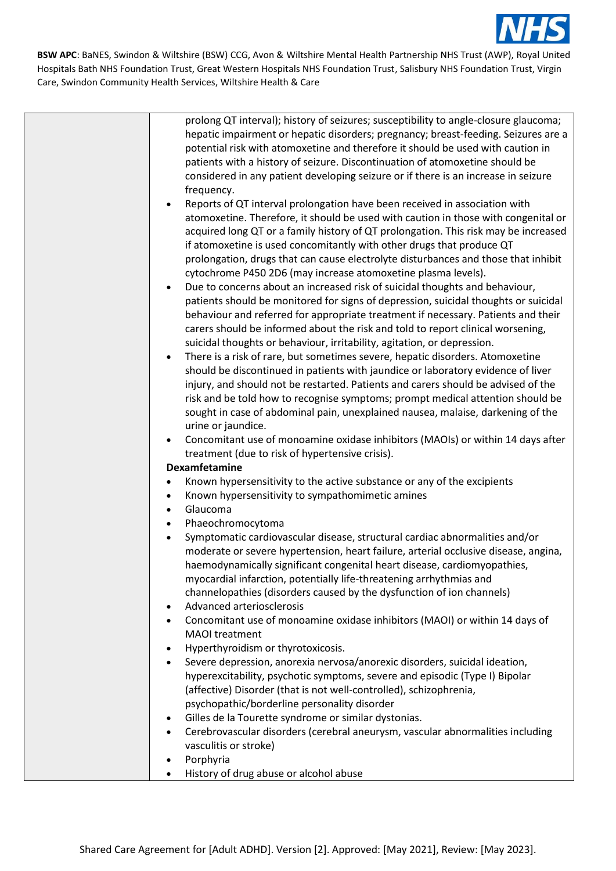

| prolong QT interval); history of seizures; susceptibility to angle-closure glaucoma;         |
|----------------------------------------------------------------------------------------------|
| hepatic impairment or hepatic disorders; pregnancy; breast-feeding. Seizures are a           |
| potential risk with atomoxetine and therefore it should be used with caution in              |
| patients with a history of seizure. Discontinuation of atomoxetine should be                 |
| considered in any patient developing seizure or if there is an increase in seizure           |
| frequency.                                                                                   |
| Reports of QT interval prolongation have been received in association with<br>$\bullet$      |
| atomoxetine. Therefore, it should be used with caution in those with congenital or           |
| acquired long QT or a family history of QT prolongation. This risk may be increased          |
| if atomoxetine is used concomitantly with other drugs that produce QT                        |
|                                                                                              |
| prolongation, drugs that can cause electrolyte disturbances and those that inhibit           |
| cytochrome P450 2D6 (may increase atomoxetine plasma levels).                                |
| Due to concerns about an increased risk of suicidal thoughts and behaviour,<br>$\bullet$     |
| patients should be monitored for signs of depression, suicidal thoughts or suicidal          |
| behaviour and referred for appropriate treatment if necessary. Patients and their            |
| carers should be informed about the risk and told to report clinical worsening,              |
| suicidal thoughts or behaviour, irritability, agitation, or depression.                      |
| There is a risk of rare, but sometimes severe, hepatic disorders. Atomoxetine<br>$\bullet$   |
| should be discontinued in patients with jaundice or laboratory evidence of liver             |
| injury, and should not be restarted. Patients and carers should be advised of the            |
| risk and be told how to recognise symptoms; prompt medical attention should be               |
| sought in case of abdominal pain, unexplained nausea, malaise, darkening of the              |
| urine or jaundice.                                                                           |
| Concomitant use of monoamine oxidase inhibitors (MAOIs) or within 14 days after<br>$\bullet$ |
| treatment (due to risk of hypertensive crisis).                                              |
| <b>Dexamfetamine</b>                                                                         |
| Known hypersensitivity to the active substance or any of the excipients<br>$\bullet$         |
| Known hypersensitivity to sympathomimetic amines<br>$\bullet$                                |
| Glaucoma<br>$\bullet$                                                                        |
| Phaeochromocytoma<br>$\bullet$                                                               |
| Symptomatic cardiovascular disease, structural cardiac abnormalities and/or<br>$\bullet$     |
| moderate or severe hypertension, heart failure, arterial occlusive disease, angina,          |
| haemodynamically significant congenital heart disease, cardiomyopathies,                     |
| myocardial infarction, potentially life-threatening arrhythmias and                          |
| channelopathies (disorders caused by the dysfunction of ion channels)                        |
| Advanced arteriosclerosis<br>$\bullet$                                                       |
| Concomitant use of monoamine oxidase inhibitors (MAOI) or within 14 days of<br>$\bullet$     |
| <b>MAOI</b> treatment                                                                        |
| Hyperthyroidism or thyrotoxicosis.<br>$\bullet$                                              |
| Severe depression, anorexia nervosa/anorexic disorders, suicidal ideation,<br>$\bullet$      |
| hyperexcitability, psychotic symptoms, severe and episodic (Type I) Bipolar                  |
| (affective) Disorder (that is not well-controlled), schizophrenia,                           |
| psychopathic/borderline personality disorder                                                 |
| Gilles de la Tourette syndrome or similar dystonias.<br>$\bullet$                            |
| Cerebrovascular disorders (cerebral aneurysm, vascular abnormalities including<br>$\bullet$  |
| vasculitis or stroke)                                                                        |
| Porphyria<br>$\bullet$                                                                       |
| History of drug abuse or alcohol abuse<br>$\bullet$                                          |
|                                                                                              |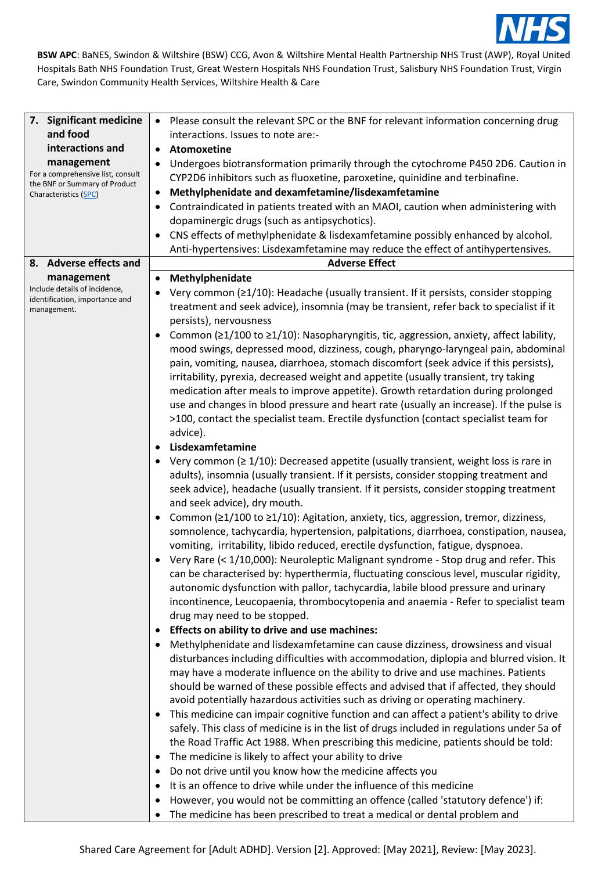

| 7. Significant medicine                                | • Please consult the relevant SPC or the BNF for relevant information concerning drug              |
|--------------------------------------------------------|----------------------------------------------------------------------------------------------------|
| and food                                               | interactions. Issues to note are:-                                                                 |
| interactions and                                       | Atomoxetine                                                                                        |
| management                                             | Undergoes biotransformation primarily through the cytochrome P450 2D6. Caution in<br>٠             |
| For a comprehensive list, consult                      | CYP2D6 inhibitors such as fluoxetine, paroxetine, quinidine and terbinafine.                       |
| the BNF or Summary of Product<br>Characteristics (SPC) | Methylphenidate and dexamfetamine/lisdexamfetamine<br>$\bullet$                                    |
|                                                        | Contraindicated in patients treated with an MAOI, caution when administering with                  |
|                                                        | dopaminergic drugs (such as antipsychotics).                                                       |
|                                                        | CNS effects of methylphenidate & lisdexamfetamine possibly enhanced by alcohol.                    |
|                                                        | Anti-hypertensives: Lisdexamfetamine may reduce the effect of antihypertensives.                   |
| 8. Adverse effects and                                 | <b>Adverse Effect</b>                                                                              |
| management                                             | Methylphenidate<br>$\bullet$                                                                       |
| Include details of incidence,                          | Very common (≥1/10): Headache (usually transient. If it persists, consider stopping                |
| identification, importance and                         | treatment and seek advice), insomnia (may be transient, refer back to specialist if it             |
| management.                                            | persists), nervousness                                                                             |
|                                                        | Common ( $\geq$ 1/100 to $\geq$ 1/10): Nasopharyngitis, tic, aggression, anxiety, affect lability, |
|                                                        | mood swings, depressed mood, dizziness, cough, pharyngo-laryngeal pain, abdominal                  |
|                                                        | pain, vomiting, nausea, diarrhoea, stomach discomfort (seek advice if this persists),              |
|                                                        | irritability, pyrexia, decreased weight and appetite (usually transient, try taking                |
|                                                        | medication after meals to improve appetite). Growth retardation during prolonged                   |
|                                                        | use and changes in blood pressure and heart rate (usually an increase). If the pulse is            |
|                                                        | >100, contact the specialist team. Erectile dysfunction (contact specialist team for               |
|                                                        | advice).                                                                                           |
|                                                        | Lisdexamfetamine                                                                                   |
|                                                        |                                                                                                    |
|                                                        | • Very common ( $\geq 1/10$ ): Decreased appetite (usually transient, weight loss is rare in       |
|                                                        | adults), insomnia (usually transient. If it persists, consider stopping treatment and              |
|                                                        | seek advice), headache (usually transient. If it persists, consider stopping treatment             |
|                                                        | and seek advice), dry mouth.                                                                       |
|                                                        | Common (≥1/100 to ≥1/10): Agitation, anxiety, tics, aggression, tremor, dizziness,                 |
|                                                        | somnolence, tachycardia, hypertension, palpitations, diarrhoea, constipation, nausea,              |
|                                                        | vomiting, irritability, libido reduced, erectile dysfunction, fatigue, dyspnoea.                   |
|                                                        | Very Rare (< 1/10,000): Neuroleptic Malignant syndrome - Stop drug and refer. This                 |
|                                                        | can be characterised by: hyperthermia, fluctuating conscious level, muscular rigidity,             |
|                                                        | autonomic dysfunction with pallor, tachycardia, labile blood pressure and urinary                  |
|                                                        | incontinence, Leucopaenia, thrombocytopenia and anaemia - Refer to specialist team                 |
|                                                        | drug may need to be stopped.                                                                       |
|                                                        | Effects on ability to drive and use machines:                                                      |
|                                                        | Methylphenidate and lisdexamfetamine can cause dizziness, drowsiness and visual                    |
|                                                        | disturbances including difficulties with accommodation, diplopia and blurred vision. It            |
|                                                        | may have a moderate influence on the ability to drive and use machines. Patients                   |
|                                                        | should be warned of these possible effects and advised that if affected, they should               |
|                                                        | avoid potentially hazardous activities such as driving or operating machinery.                     |
|                                                        | This medicine can impair cognitive function and can affect a patient's ability to drive            |
|                                                        | safely. This class of medicine is in the list of drugs included in regulations under 5a of         |
|                                                        | the Road Traffic Act 1988. When prescribing this medicine, patients should be told:                |
|                                                        | The medicine is likely to affect your ability to drive                                             |
|                                                        | Do not drive until you know how the medicine affects you                                           |
|                                                        | It is an offence to drive while under the influence of this medicine                               |
|                                                        | However, you would not be committing an offence (called 'statutory defence') if:                   |
|                                                        | The medicine has been prescribed to treat a medical or dental problem and                          |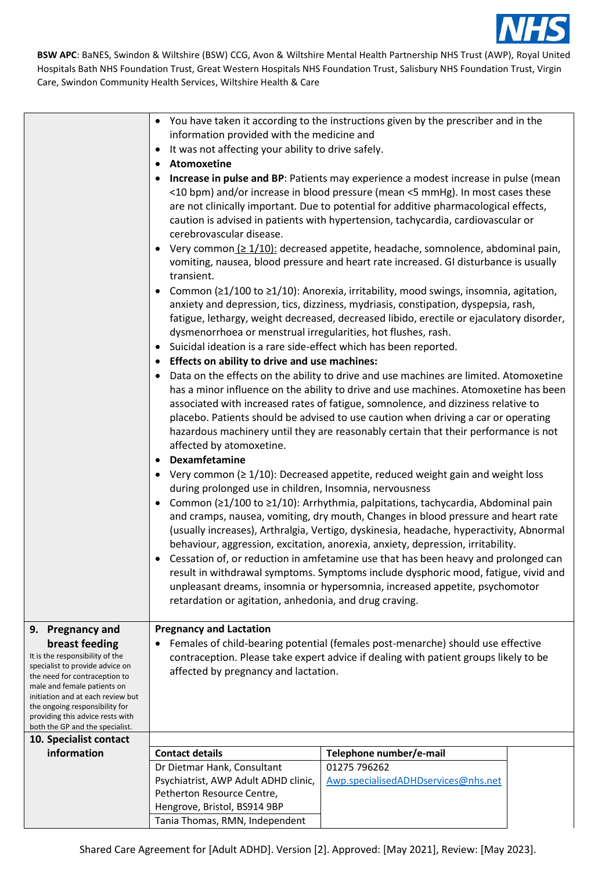

|                                                                                                                                                                                                                                                                                                                        | • You have taken it according to the instructions given by the prescriber and in the                                                                                                                                                                                                                                                                                                                                                                                                                                                                                                                                                                                                                                                                                                                                                                                                                                                                                                                                                                                                                                                                                                                                                                                                                                                        |                                                                                                                                                                                                                                                                                                                                                        |  |  |  |
|------------------------------------------------------------------------------------------------------------------------------------------------------------------------------------------------------------------------------------------------------------------------------------------------------------------------|---------------------------------------------------------------------------------------------------------------------------------------------------------------------------------------------------------------------------------------------------------------------------------------------------------------------------------------------------------------------------------------------------------------------------------------------------------------------------------------------------------------------------------------------------------------------------------------------------------------------------------------------------------------------------------------------------------------------------------------------------------------------------------------------------------------------------------------------------------------------------------------------------------------------------------------------------------------------------------------------------------------------------------------------------------------------------------------------------------------------------------------------------------------------------------------------------------------------------------------------------------------------------------------------------------------------------------------------|--------------------------------------------------------------------------------------------------------------------------------------------------------------------------------------------------------------------------------------------------------------------------------------------------------------------------------------------------------|--|--|--|
|                                                                                                                                                                                                                                                                                                                        | information provided with the medicine and                                                                                                                                                                                                                                                                                                                                                                                                                                                                                                                                                                                                                                                                                                                                                                                                                                                                                                                                                                                                                                                                                                                                                                                                                                                                                                  |                                                                                                                                                                                                                                                                                                                                                        |  |  |  |
|                                                                                                                                                                                                                                                                                                                        | • It was not affecting your ability to drive safely.                                                                                                                                                                                                                                                                                                                                                                                                                                                                                                                                                                                                                                                                                                                                                                                                                                                                                                                                                                                                                                                                                                                                                                                                                                                                                        |                                                                                                                                                                                                                                                                                                                                                        |  |  |  |
|                                                                                                                                                                                                                                                                                                                        | • Atomoxetine                                                                                                                                                                                                                                                                                                                                                                                                                                                                                                                                                                                                                                                                                                                                                                                                                                                                                                                                                                                                                                                                                                                                                                                                                                                                                                                               |                                                                                                                                                                                                                                                                                                                                                        |  |  |  |
|                                                                                                                                                                                                                                                                                                                        | • Increase in pulse and BP: Patients may experience a modest increase in pulse (mean<br><10 bpm) and/or increase in blood pressure (mean <5 mmHg). In most cases these<br>are not clinically important. Due to potential for additive pharmacological effects,<br>caution is advised in patients with hypertension, tachycardia, cardiovascular or<br>cerebrovascular disease.                                                                                                                                                                                                                                                                                                                                                                                                                                                                                                                                                                                                                                                                                                                                                                                                                                                                                                                                                              |                                                                                                                                                                                                                                                                                                                                                        |  |  |  |
|                                                                                                                                                                                                                                                                                                                        | transient.                                                                                                                                                                                                                                                                                                                                                                                                                                                                                                                                                                                                                                                                                                                                                                                                                                                                                                                                                                                                                                                                                                                                                                                                                                                                                                                                  | • Very common $\leq 1/10$ : decreased appetite, headache, somnolence, abdominal pain,<br>vomiting, nausea, blood pressure and heart rate increased. GI disturbance is usually                                                                                                                                                                          |  |  |  |
|                                                                                                                                                                                                                                                                                                                        |                                                                                                                                                                                                                                                                                                                                                                                                                                                                                                                                                                                                                                                                                                                                                                                                                                                                                                                                                                                                                                                                                                                                                                                                                                                                                                                                             | • Common ( $\geq 1/100$ to $\geq 1/10$ ): Anorexia, irritability, mood swings, insomnia, agitation,<br>anxiety and depression, tics, dizziness, mydriasis, constipation, dyspepsia, rash,<br>fatigue, lethargy, weight decreased, decreased libido, erectile or ejaculatory disorder,<br>dysmenorrhoea or menstrual irregularities, hot flushes, rash. |  |  |  |
|                                                                                                                                                                                                                                                                                                                        | • Suicidal ideation is a rare side-effect which has been reported.                                                                                                                                                                                                                                                                                                                                                                                                                                                                                                                                                                                                                                                                                                                                                                                                                                                                                                                                                                                                                                                                                                                                                                                                                                                                          |                                                                                                                                                                                                                                                                                                                                                        |  |  |  |
|                                                                                                                                                                                                                                                                                                                        |                                                                                                                                                                                                                                                                                                                                                                                                                                                                                                                                                                                                                                                                                                                                                                                                                                                                                                                                                                                                                                                                                                                                                                                                                                                                                                                                             |                                                                                                                                                                                                                                                                                                                                                        |  |  |  |
|                                                                                                                                                                                                                                                                                                                        | • Effects on ability to drive and use machines:<br>• Data on the effects on the ability to drive and use machines are limited. Atomoxetine<br>has a minor influence on the ability to drive and use machines. Atomoxetine has been<br>associated with increased rates of fatigue, somnolence, and dizziness relative to<br>placebo. Patients should be advised to use caution when driving a car or operating<br>hazardous machinery until they are reasonably certain that their performance is not<br>affected by atomoxetine.<br>• Dexamfetamine<br>• Very common ( $\geq 1/10$ ): Decreased appetite, reduced weight gain and weight loss<br>during prolonged use in children, Insomnia, nervousness<br>• Common ( $\geq 1/100$ to $\geq 1/10$ ): Arrhythmia, palpitations, tachycardia, Abdominal pain<br>and cramps, nausea, vomiting, dry mouth, Changes in blood pressure and heart rate<br>(usually increases), Arthralgia, Vertigo, dyskinesia, headache, hyperactivity, Abnormal<br>behaviour, aggression, excitation, anorexia, anxiety, depression, irritability.<br>• Cessation of, or reduction in amfetamine use that has been heavy and prolonged can<br>result in withdrawal symptoms. Symptoms include dysphoric mood, fatigue, vivid and<br>unpleasant dreams, insomnia or hypersomnia, increased appetite, psychomotor |                                                                                                                                                                                                                                                                                                                                                        |  |  |  |
|                                                                                                                                                                                                                                                                                                                        |                                                                                                                                                                                                                                                                                                                                                                                                                                                                                                                                                                                                                                                                                                                                                                                                                                                                                                                                                                                                                                                                                                                                                                                                                                                                                                                                             |                                                                                                                                                                                                                                                                                                                                                        |  |  |  |
| 9. Pregnancy and<br>breast feeding<br>It is the responsibility of the<br>specialist to provide advice on<br>the need for contraception to<br>male and female patients on<br>initiation and at each review but<br>the ongoing responsibility for<br>providing this advice rests with<br>both the GP and the specialist. | <b>Pregnancy and Lactation</b><br>Females of child-bearing potential (females post-menarche) should use effective<br>contraception. Please take expert advice if dealing with patient groups likely to be<br>affected by pregnancy and lactation.                                                                                                                                                                                                                                                                                                                                                                                                                                                                                                                                                                                                                                                                                                                                                                                                                                                                                                                                                                                                                                                                                           |                                                                                                                                                                                                                                                                                                                                                        |  |  |  |
| 10. Specialist contact                                                                                                                                                                                                                                                                                                 |                                                                                                                                                                                                                                                                                                                                                                                                                                                                                                                                                                                                                                                                                                                                                                                                                                                                                                                                                                                                                                                                                                                                                                                                                                                                                                                                             |                                                                                                                                                                                                                                                                                                                                                        |  |  |  |
| information                                                                                                                                                                                                                                                                                                            | <b>Contact details</b>                                                                                                                                                                                                                                                                                                                                                                                                                                                                                                                                                                                                                                                                                                                                                                                                                                                                                                                                                                                                                                                                                                                                                                                                                                                                                                                      | Telephone number/e-mail                                                                                                                                                                                                                                                                                                                                |  |  |  |
|                                                                                                                                                                                                                                                                                                                        | Dr Dietmar Hank, Consultant                                                                                                                                                                                                                                                                                                                                                                                                                                                                                                                                                                                                                                                                                                                                                                                                                                                                                                                                                                                                                                                                                                                                                                                                                                                                                                                 | 01275 796262                                                                                                                                                                                                                                                                                                                                           |  |  |  |
|                                                                                                                                                                                                                                                                                                                        | Psychiatrist, AWP Adult ADHD clinic,<br>Petherton Resource Centre,                                                                                                                                                                                                                                                                                                                                                                                                                                                                                                                                                                                                                                                                                                                                                                                                                                                                                                                                                                                                                                                                                                                                                                                                                                                                          | Awp.specialisedADHDservices@nhs.net                                                                                                                                                                                                                                                                                                                    |  |  |  |
|                                                                                                                                                                                                                                                                                                                        | Hengrove, Bristol, BS914 9BP                                                                                                                                                                                                                                                                                                                                                                                                                                                                                                                                                                                                                                                                                                                                                                                                                                                                                                                                                                                                                                                                                                                                                                                                                                                                                                                |                                                                                                                                                                                                                                                                                                                                                        |  |  |  |
|                                                                                                                                                                                                                                                                                                                        | Tania Thomas, RMN, Independent                                                                                                                                                                                                                                                                                                                                                                                                                                                                                                                                                                                                                                                                                                                                                                                                                                                                                                                                                                                                                                                                                                                                                                                                                                                                                                              |                                                                                                                                                                                                                                                                                                                                                        |  |  |  |
|                                                                                                                                                                                                                                                                                                                        |                                                                                                                                                                                                                                                                                                                                                                                                                                                                                                                                                                                                                                                                                                                                                                                                                                                                                                                                                                                                                                                                                                                                                                                                                                                                                                                                             |                                                                                                                                                                                                                                                                                                                                                        |  |  |  |